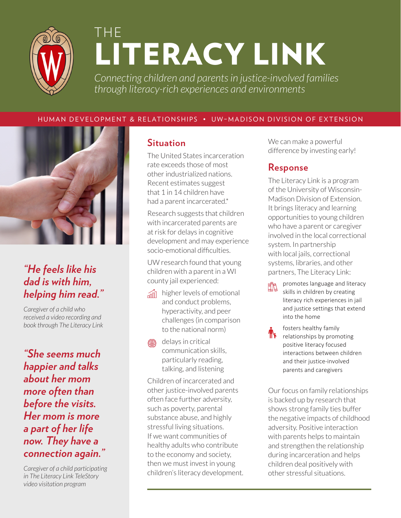

# THE LITERACY LINK

*Connecting children and parents in justice-involved families through literacy-rich experiences and environments*

#### HUMAN DEVELOPMENT & RELATIONSHIPS • UW–MADISON DIVISION OF EXTENSION



## *"He feels like his dad is with him, helping him read."*

*Caregiver of a child who received a video recording and book through The Literacy Link*

*"She seems much happier and talks about her mom more often than before the visits. Her mom is more a part of her life now. They have a connection again."*

*Caregiver of a child participating in The Literacy Link TeleStory video visitation program*

### **Situation**

The United States incarceration rate exceeds those of most other industrialized nations. Recent estimates suggest that 1 in 14 children have had a parent incarcerated.\*

Research suggests that children with incarcerated parents are at risk for delays in cognitive development and may experience socio-emotional difficulties.

UW research found that young children with a parent in a WI county jail experienced:

- **And higher levels of emotional** and conduct problems, hyperactivity, and peer challenges (in comparison to the national norm)
- delays in critical 褐脸 communication skills, particularly reading, talking, and listening

Children of incarcerated and other justice-involved parents often face further adversity, such as poverty, parental substance abuse, and highly stressful living situations. If we want communities of healthy adults who contribute to the economy and society, then we must invest in young children's literacy development. We can make a powerful difference by investing early!

#### **Response**

The Literacy Link is a program of the University of Wisconsin-Madison Division of Extension. It brings literacy and learning opportunities to young children who have a parent or caregiver involved in the local correctional system. In partnership with local jails, correctional systems, libraries, and other partners, The Literacy Link:

- promotes language and literacy 龃 skills in children by creating literacy rich experiences in jail and justice settings that extend into the home
- fosters healthy family relationships by promoting positive literacy focused interactions between children and their justice-involved parents and caregivers

Our focus on family relationships is backed up by research that shows strong family ties buffer the negative impacts of childhood adversity. Positive interaction with parents helps to maintain and strengthen the relationship during incarceration and helps children deal positively with other stressful situations.